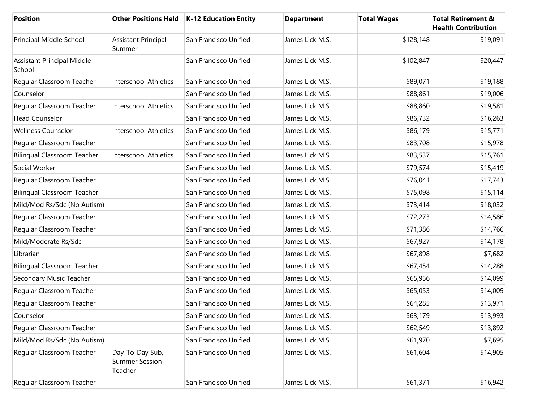| <b>Position</b>                             |                                                     | Other Positions Held   K-12 Education Entity | <b>Department</b> | <b>Total Wages</b> | <b>Total Retirement &amp;</b><br><b>Health Contribution</b> |
|---------------------------------------------|-----------------------------------------------------|----------------------------------------------|-------------------|--------------------|-------------------------------------------------------------|
| Principal Middle School                     | <b>Assistant Principal</b><br>Summer                | San Francisco Unified                        | James Lick M.S.   | \$128,148          | \$19,091                                                    |
| <b>Assistant Principal Middle</b><br>School |                                                     | San Francisco Unified                        | James Lick M.S.   | \$102,847          | \$20,447                                                    |
| Regular Classroom Teacher                   | <b>Interschool Athletics</b>                        | San Francisco Unified                        | James Lick M.S.   | \$89,071           | \$19,188                                                    |
| Counselor                                   |                                                     | San Francisco Unified                        | James Lick M.S.   | \$88,861           | \$19,006                                                    |
| Regular Classroom Teacher                   | <b>Interschool Athletics</b>                        | San Francisco Unified                        | James Lick M.S.   | \$88,860           | \$19,581                                                    |
| <b>Head Counselor</b>                       |                                                     | San Francisco Unified                        | James Lick M.S.   | \$86,732           | \$16,263                                                    |
| <b>Wellness Counselor</b>                   | <b>Interschool Athletics</b>                        | San Francisco Unified                        | James Lick M.S.   | \$86,179           | \$15,771                                                    |
| Regular Classroom Teacher                   |                                                     | San Francisco Unified                        | James Lick M.S.   | \$83,708           | \$15,978                                                    |
| <b>Bilingual Classroom Teacher</b>          | Interschool Athletics                               | San Francisco Unified                        | James Lick M.S.   | \$83,537           | \$15,761                                                    |
| Social Worker                               |                                                     | San Francisco Unified                        | James Lick M.S.   | \$79,574           | \$15,419                                                    |
| Regular Classroom Teacher                   |                                                     | San Francisco Unified                        | James Lick M.S.   | \$76,041           | \$17,743                                                    |
| <b>Bilingual Classroom Teacher</b>          |                                                     | San Francisco Unified                        | James Lick M.S.   | \$75,098           | \$15,114                                                    |
| Mild/Mod Rs/Sdc (No Autism)                 |                                                     | San Francisco Unified                        | James Lick M.S.   | \$73,414           | \$18,032                                                    |
| Regular Classroom Teacher                   |                                                     | San Francisco Unified                        | James Lick M.S.   | \$72,273           | \$14,586                                                    |
| Regular Classroom Teacher                   |                                                     | San Francisco Unified                        | James Lick M.S.   | \$71,386           | \$14,766                                                    |
| Mild/Moderate Rs/Sdc                        |                                                     | San Francisco Unified                        | James Lick M.S.   | \$67,927           | \$14,178                                                    |
| Librarian                                   |                                                     | San Francisco Unified                        | James Lick M.S.   | \$67,898           | \$7,682                                                     |
| <b>Bilingual Classroom Teacher</b>          |                                                     | San Francisco Unified                        | James Lick M.S.   | \$67,454           | \$14,288                                                    |
| Secondary Music Teacher                     |                                                     | San Francisco Unified                        | James Lick M.S.   | \$65,956           | \$14,099                                                    |
| Regular Classroom Teacher                   |                                                     | San Francisco Unified                        | James Lick M.S.   | \$65,053           | \$14,009                                                    |
| Regular Classroom Teacher                   |                                                     | San Francisco Unified                        | James Lick M.S.   | \$64,285           | \$13,971                                                    |
| Counselor                                   |                                                     | San Francisco Unified                        | James Lick M.S.   | \$63,179           | \$13,993                                                    |
| Regular Classroom Teacher                   |                                                     | San Francisco Unified                        | James Lick M.S.   | \$62,549           | \$13,892                                                    |
| Mild/Mod Rs/Sdc (No Autism)                 |                                                     | San Francisco Unified                        | James Lick M.S.   | \$61,970           | \$7,695                                                     |
| Regular Classroom Teacher                   | Day-To-Day Sub,<br><b>Summer Session</b><br>Teacher | San Francisco Unified                        | James Lick M.S.   | \$61,604           | \$14,905                                                    |
| Regular Classroom Teacher                   |                                                     | San Francisco Unified                        | James Lick M.S.   | \$61,371           | \$16,942                                                    |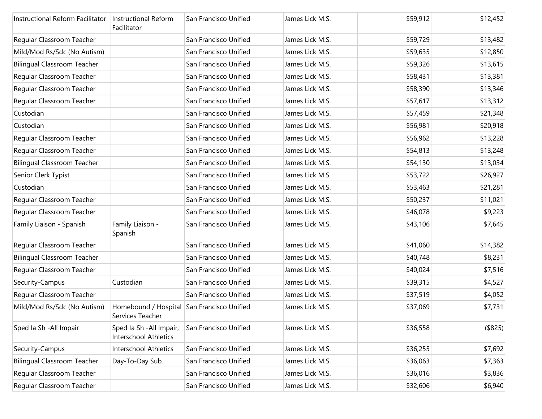| Instructional Reform Facilitator   | <b>Instructional Reform</b><br>Facilitator        | San Francisco Unified | James Lick M.S. | \$59,912 | \$12,452 |
|------------------------------------|---------------------------------------------------|-----------------------|-----------------|----------|----------|
| Regular Classroom Teacher          |                                                   | San Francisco Unified | James Lick M.S. | \$59,729 | \$13,482 |
| Mild/Mod Rs/Sdc (No Autism)        |                                                   | San Francisco Unified | James Lick M.S. | \$59,635 | \$12,850 |
| <b>Bilingual Classroom Teacher</b> |                                                   | San Francisco Unified | James Lick M.S. | \$59,326 | \$13,615 |
| Regular Classroom Teacher          |                                                   | San Francisco Unified | James Lick M.S. | \$58,431 | \$13,381 |
| Regular Classroom Teacher          |                                                   | San Francisco Unified | James Lick M.S. | \$58,390 | \$13,346 |
| Regular Classroom Teacher          |                                                   | San Francisco Unified | James Lick M.S. | \$57,617 | \$13,312 |
| Custodian                          |                                                   | San Francisco Unified | James Lick M.S. | \$57,459 | \$21,348 |
| Custodian                          |                                                   | San Francisco Unified | James Lick M.S. | \$56,981 | \$20,918 |
| Regular Classroom Teacher          |                                                   | San Francisco Unified | James Lick M.S. | \$56,962 | \$13,228 |
| Regular Classroom Teacher          |                                                   | San Francisco Unified | James Lick M.S. | \$54,813 | \$13,248 |
| <b>Bilingual Classroom Teacher</b> |                                                   | San Francisco Unified | James Lick M.S. | \$54,130 | \$13,034 |
| Senior Clerk Typist                |                                                   | San Francisco Unified | James Lick M.S. | \$53,722 | \$26,927 |
| Custodian                          |                                                   | San Francisco Unified | James Lick M.S. | \$53,463 | \$21,281 |
| Regular Classroom Teacher          |                                                   | San Francisco Unified | James Lick M.S. | \$50,237 | \$11,021 |
| Regular Classroom Teacher          |                                                   | San Francisco Unified | James Lick M.S. | \$46,078 | \$9,223  |
| Family Liaison - Spanish           | Family Liaison -<br>Spanish                       | San Francisco Unified | James Lick M.S. | \$43,106 | \$7,645  |
| Regular Classroom Teacher          |                                                   | San Francisco Unified | James Lick M.S. | \$41,060 | \$14,382 |
| <b>Bilingual Classroom Teacher</b> |                                                   | San Francisco Unified | James Lick M.S. | \$40,748 | \$8,231  |
| Regular Classroom Teacher          |                                                   | San Francisco Unified | James Lick M.S. | \$40,024 | \$7,516  |
| Security-Campus                    | Custodian                                         | San Francisco Unified | James Lick M.S. | \$39,315 | \$4,527  |
| Regular Classroom Teacher          |                                                   | San Francisco Unified | James Lick M.S. | \$37,519 | \$4,052  |
| Mild/Mod Rs/Sdc (No Autism)        | Homebound / Hospital<br>Services Teacher          | San Francisco Unified | James Lick M.S. | \$37,069 | \$7,731  |
| Sped Ia Sh - All Impair            | Sped Ia Sh - All Impair,<br>Interschool Athletics | San Francisco Unified | James Lick M.S. | \$36,558 | (\$825)  |
| Security-Campus                    | Interschool Athletics                             | San Francisco Unified | James Lick M.S. | \$36,255 | \$7,692  |
| <b>Bilingual Classroom Teacher</b> | Day-To-Day Sub                                    | San Francisco Unified | James Lick M.S. | \$36,063 | \$7,363  |
| Regular Classroom Teacher          |                                                   | San Francisco Unified | James Lick M.S. | \$36,016 | \$3,836  |
| Regular Classroom Teacher          |                                                   | San Francisco Unified | James Lick M.S. | \$32,606 | \$6,940  |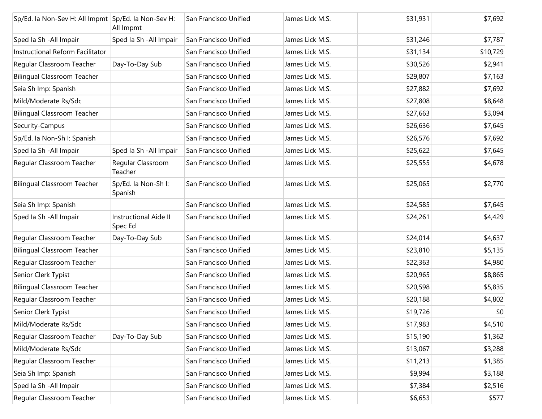| Sp/Ed. la Non-Sev H: All Impmt Sp/Ed. la Non-Sev H: | All Impmt                               | San Francisco Unified | James Lick M.S. | \$31,931 | \$7,692  |
|-----------------------------------------------------|-----------------------------------------|-----------------------|-----------------|----------|----------|
| Sped la Sh - All Impair                             | Sped Ia Sh - All Impair                 | San Francisco Unified | James Lick M.S. | \$31,246 | \$7,787  |
| Instructional Reform Facilitator                    |                                         | San Francisco Unified | James Lick M.S. | \$31,134 | \$10,729 |
| Regular Classroom Teacher                           | Day-To-Day Sub                          | San Francisco Unified | James Lick M.S. | \$30,526 | \$2,941  |
| <b>Bilingual Classroom Teacher</b>                  |                                         | San Francisco Unified | James Lick M.S. | \$29,807 | \$7,163  |
| Seia Sh Imp: Spanish                                |                                         | San Francisco Unified | James Lick M.S. | \$27,882 | \$7,692  |
| Mild/Moderate Rs/Sdc                                |                                         | San Francisco Unified | James Lick M.S. | \$27,808 | \$8,648  |
| <b>Bilingual Classroom Teacher</b>                  |                                         | San Francisco Unified | James Lick M.S. | \$27,663 | \$3,094  |
| Security-Campus                                     |                                         | San Francisco Unified | James Lick M.S. | \$26,636 | \$7,645  |
| Sp/Ed. Ia Non-Sh I: Spanish                         |                                         | San Francisco Unified | James Lick M.S. | \$26,576 | \$7,692  |
| Sped Ia Sh - All Impair                             | Sped Ia Sh - All Impair                 | San Francisco Unified | James Lick M.S. | \$25,622 | \$7,645  |
| Regular Classroom Teacher                           | Regular Classroom<br>Teacher            | San Francisco Unified | James Lick M.S. | \$25,555 | \$4,678  |
| <b>Bilingual Classroom Teacher</b>                  | Sp/Ed. la Non-Sh I:<br>Spanish          | San Francisco Unified | James Lick M.S. | \$25,065 | \$2,770  |
| Seia Sh Imp: Spanish                                |                                         | San Francisco Unified | James Lick M.S. | \$24,585 | \$7,645  |
| Sped Ia Sh - All Impair                             | <b>Instructional Aide II</b><br>Spec Ed | San Francisco Unified | James Lick M.S. | \$24,261 | \$4,429  |
| Regular Classroom Teacher                           | Day-To-Day Sub                          | San Francisco Unified | James Lick M.S. | \$24,014 | \$4,637  |
| <b>Bilingual Classroom Teacher</b>                  |                                         | San Francisco Unified | James Lick M.S. | \$23,810 | \$5,135  |
| Regular Classroom Teacher                           |                                         | San Francisco Unified | James Lick M.S. | \$22,363 | \$4,980  |
| Senior Clerk Typist                                 |                                         | San Francisco Unified | James Lick M.S. | \$20,965 | \$8,865  |
| <b>Bilingual Classroom Teacher</b>                  |                                         | San Francisco Unified | James Lick M.S. | \$20,598 | \$5,835  |
| Regular Classroom Teacher                           |                                         | San Francisco Unified | James Lick M.S. | \$20,188 | \$4,802  |
| Senior Clerk Typist                                 |                                         | San Francisco Unified | James Lick M.S. | \$19,726 | \$0      |
| Mild/Moderate Rs/Sdc                                |                                         | San Francisco Unified | James Lick M.S. | \$17,983 | \$4,510  |
| Regular Classroom Teacher                           | Day-To-Day Sub                          | San Francisco Unified | James Lick M.S. | \$15,190 | \$1,362  |
| Mild/Moderate Rs/Sdc                                |                                         | San Francisco Unified | James Lick M.S. | \$13,067 | \$3,288  |
| Regular Classroom Teacher                           |                                         | San Francisco Unified | James Lick M.S. | \$11,213 | \$1,385  |
| Seia Sh Imp: Spanish                                |                                         | San Francisco Unified | James Lick M.S. | \$9,994  | \$3,188  |
| Sped la Sh - All Impair                             |                                         | San Francisco Unified | James Lick M.S. | \$7,384  | \$2,516  |
| Regular Classroom Teacher                           |                                         | San Francisco Unified | James Lick M.S. | \$6,653  | \$577    |